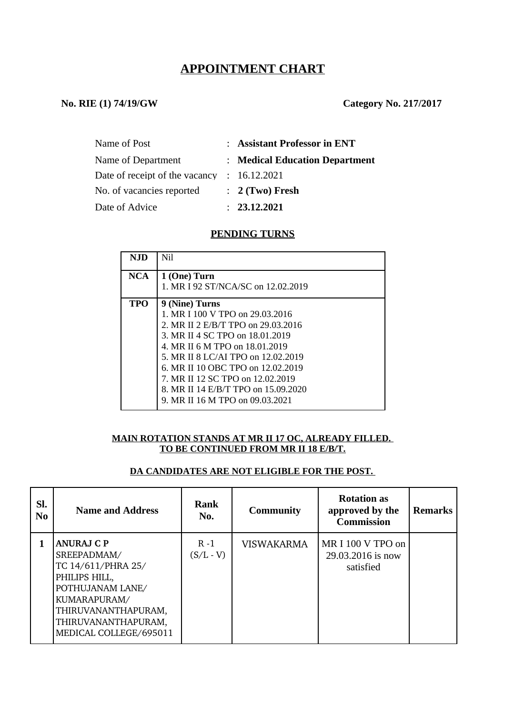# **APPOINTMENT CHART**

## **No. RIE (1) 74/19/GW Category No. 217/2017**

| Name of Post                                | : Assistant Professor in ENT   |
|---------------------------------------------|--------------------------------|
| Name of Department                          | : Medical Education Department |
| Date of receipt of the vacancy : 16.12.2021 |                                |
| No. of vacancies reported                   | $\therefore$ 2 (Two) Fresh     |
| Date of Advice                              | : 23.12.2021                   |

#### **PENDING TURNS**

| NJD        | Nil                                 |
|------------|-------------------------------------|
| <b>NCA</b> | 1 (One) Turn                        |
|            | 1. MR I 92 ST/NCA/SC on 12.02.2019  |
| <b>TPO</b> | 9 (Nine) Turns                      |
|            | 1. MR I 100 V TPO on 29.03.2016     |
|            | 2. MR II 2 E/B/T TPO on 29.03.2016  |
|            | 3. MR II 4 SC TPO on 18.01.2019     |
|            | 4. MR II 6 M TPO on 18.01.2019      |
|            | 5. MR II 8 LC/AI TPO on 12.02.2019  |
|            | 6. MR II 10 OBC TPO on 12.02.2019   |
|            | 7. MR II 12 SC TPO on 12.02.2019    |
|            | 8. MR II 14 E/B/T TPO on 15.09.2020 |
|            | 9. MR II 16 M TPO on 09.03.2021     |
|            |                                     |

#### **MAIN ROTATION STANDS AT MR II 17 OC, ALREADY FILLED. TO BE CONTINUED FROM MR II 18 E/B/T.**

### **DA CANDIDATES ARE NOT ELIGIBLE FOR THE POST.**

| SI.<br>N <sub>0</sub> | <b>Name and Address</b>                                                                                                                                                             | <b>Rank</b><br>No.     | <b>Community</b>  | <b>Rotation as</b><br>approved by the<br><b>Commission</b> | <b>Remarks</b> |
|-----------------------|-------------------------------------------------------------------------------------------------------------------------------------------------------------------------------------|------------------------|-------------------|------------------------------------------------------------|----------------|
|                       | <b>ANURAJ C P</b><br>SREEPADMAM/<br>TC 14/611/PHRA 25/<br>PHILIPS HILL,<br>POTHUJANAM LANE/<br>KUMARAPURAM/<br>THIRUVANANTHAPURAM,<br>THIRUVANANTHAPURAM,<br>MEDICAL COLLEGE/695011 | $R - 1$<br>$(S/L - V)$ | <b>VISWAKARMA</b> | MR I 100 V TPO on<br>29.03.2016 is now<br>satisfied        |                |